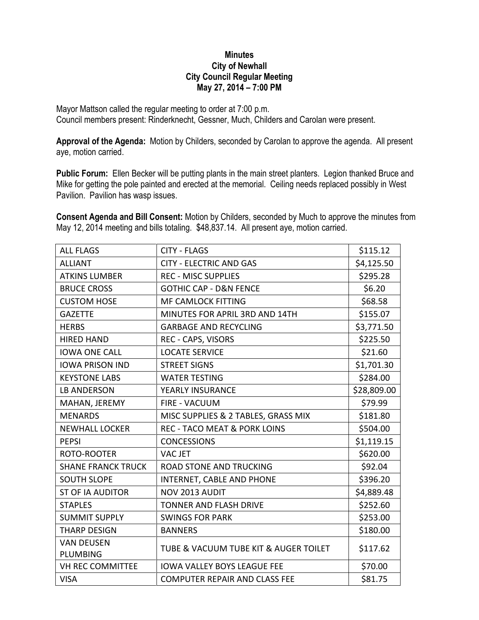## **Minutes City of Newhall City Council Regular Meeting May 27, 2014 – 7:00 PM**

Mayor Mattson called the regular meeting to order at 7:00 p.m. Council members present: Rinderknecht, Gessner, Much, Childers and Carolan were present.

**Approval of the Agenda:** Motion by Childers, seconded by Carolan to approve the agenda. All present aye, motion carried.

**Public Forum:** Ellen Becker will be putting plants in the main street planters. Legion thanked Bruce and Mike for getting the pole painted and erected at the memorial. Ceiling needs replaced possibly in West Pavilion. Pavilion has wasp issues.

**Consent Agenda and Bill Consent:** Motion by Childers, seconded by Much to approve the minutes from May 12, 2014 meeting and bills totaling. \$48,837.14. All present aye, motion carried.

| <b>ALL FLAGS</b>              | <b>CITY - FLAGS</b>                     | \$115.12    |
|-------------------------------|-----------------------------------------|-------------|
| <b>ALLIANT</b>                | <b>CITY - ELECTRIC AND GAS</b>          | \$4,125.50  |
| <b>ATKINS LUMBER</b>          | <b>REC - MISC SUPPLIES</b>              | \$295.28    |
| <b>BRUCE CROSS</b>            | <b>GOTHIC CAP - D&amp;N FENCE</b>       | \$6.20      |
| <b>CUSTOM HOSE</b>            | <b>MF CAMLOCK FITTING</b>               | \$68.58     |
| <b>GAZETTE</b>                | MINUTES FOR APRIL 3RD AND 14TH          | \$155.07    |
| <b>HERBS</b>                  | <b>GARBAGE AND RECYCLING</b>            | \$3,771.50  |
| <b>HIRED HAND</b>             | REC - CAPS, VISORS                      | \$225.50    |
| <b>IOWA ONE CALL</b>          | <b>LOCATE SERVICE</b>                   | \$21.60     |
| <b>IOWA PRISON IND</b>        | <b>STREET SIGNS</b>                     | \$1,701.30  |
| <b>KEYSTONE LABS</b>          | <b>WATER TESTING</b>                    | \$284.00    |
| <b>LB ANDERSON</b>            | YEARLY INSURANCE                        | \$28,809.00 |
| MAHAN, JEREMY                 | <b>FIRE - VACUUM</b>                    | \$79.99     |
| <b>MENARDS</b>                | MISC SUPPLIES & 2 TABLES, GRASS MIX     | \$181.80    |
| <b>NEWHALL LOCKER</b>         | <b>REC - TACO MEAT &amp; PORK LOINS</b> | \$504.00    |
| <b>PEPSI</b>                  | <b>CONCESSIONS</b>                      | \$1,119.15  |
| ROTO-ROOTER                   | VAC JET                                 | \$620.00    |
| <b>SHANE FRANCK TRUCK</b>     | <b>ROAD STONE AND TRUCKING</b>          | \$92.04     |
| <b>SOUTH SLOPE</b>            | INTERNET, CABLE AND PHONE               | \$396.20    |
| <b>ST OF IA AUDITOR</b>       | NOV 2013 AUDIT                          | \$4,889.48  |
| <b>STAPLES</b>                | <b>TONNER AND FLASH DRIVE</b>           | \$252.60    |
| <b>SUMMIT SUPPLY</b>          | <b>SWINGS FOR PARK</b>                  | \$253.00    |
| <b>THARP DESIGN</b>           | <b>BANNERS</b>                          | \$180.00    |
| <b>VAN DEUSEN</b><br>PLUMBING | TUBE & VACUUM TUBE KIT & AUGER TOILET   | \$117.62    |
| <b>VH REC COMMITTEE</b>       | <b>IOWA VALLEY BOYS LEAGUE FEE</b>      | \$70.00     |
| <b>VISA</b>                   | <b>COMPUTER REPAIR AND CLASS FEE</b>    | \$81.75     |